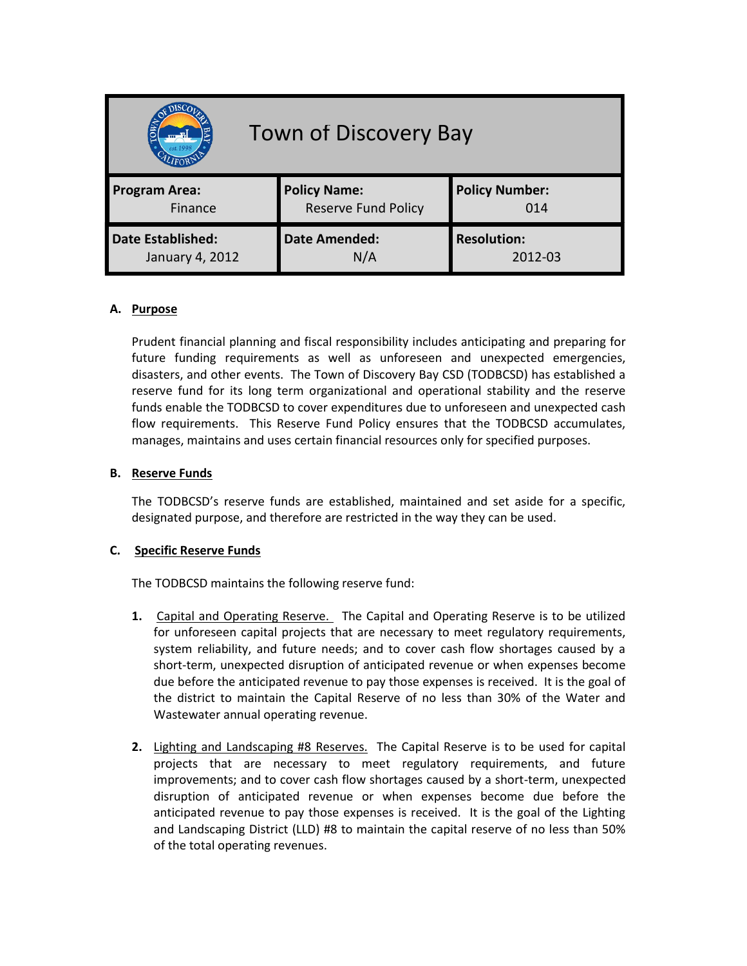| <b>Town of Discovery Bay</b><br><b>Small</b> W. |                            |                       |
|-------------------------------------------------|----------------------------|-----------------------|
| <b>Program Area:</b>                            | <b>Policy Name:</b>        | <b>Policy Number:</b> |
| Finance                                         | <b>Reserve Fund Policy</b> | 014                   |
| <b>Date Established:</b>                        | <b>Date Amended:</b>       | <b>Resolution:</b>    |
| January 4, 2012                                 | N/A                        | 2012-03               |

## **A. Purpose**

Prudent financial planning and fiscal responsibility includes anticipating and preparing for future funding requirements as well as unforeseen and unexpected emergencies, disasters, and other events. The Town of Discovery Bay CSD (TODBCSD) has established a reserve fund for its long term organizational and operational stability and the reserve funds enable the TODBCSD to cover expenditures due to unforeseen and unexpected cash flow requirements. This Reserve Fund Policy ensures that the TODBCSD accumulates, manages, maintains and uses certain financial resources only for specified purposes.

## **B. Reserve Funds**

The TODBCSD's reserve funds are established, maintained and set aside for a specific, designated purpose, and therefore are restricted in the way they can be used.

## **C. Specific Reserve Funds**

The TODBCSD maintains the following reserve fund:

- **1.** Capital and Operating Reserve. The Capital and Operating Reserve is to be utilized for unforeseen capital projects that are necessary to meet regulatory requirements, system reliability, and future needs; and to cover cash flow shortages caused by a short-term, unexpected disruption of anticipated revenue or when expenses become due before the anticipated revenue to pay those expenses is received. It is the goal of the district to maintain the Capital Reserve of no less than 30% of the Water and Wastewater annual operating revenue.
- **2.** Lighting and Landscaping #8 Reserves. The Capital Reserve is to be used for capital projects that are necessary to meet regulatory requirements, and future improvements; and to cover cash flow shortages caused by a short-term, unexpected disruption of anticipated revenue or when expenses become due before the anticipated revenue to pay those expenses is received. It is the goal of the Lighting and Landscaping District (LLD) #8 to maintain the capital reserve of no less than 50% of the total operating revenues.